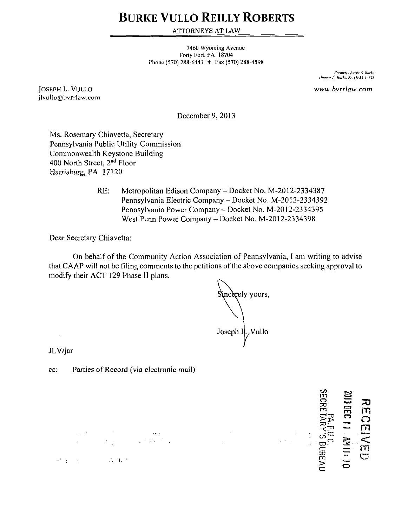## **BURKE VULLO REILLY ROBERTS**

ATTORNEYS AT LAW

1460 Wyoming Avenue Forty Fort, PA 18704 Phone (570) 288-6441  $+$  Fax (570) 288-4598

> *l-'iiimrily Itiirke A Hurkt /'KWIIU. Hurkf, Sr. (I'JM'I'J72}*

*JOSEPH L. VULLO WWW. bvrrlaw. com*  jlvullo@bvrrlaw.com

December 9,2013

Ms. Rosemary Chiavetta, Secretary Pennsylvania Public Utility Commission Commonwealth Keystone Building 400 North Street, 2<sup>nd</sup> Floor Harrisburg, PA 17120

> RE: Metropolitan Edison Company - Docket No. M-2012-2334387 Pennsylvania Electric Company - Docket No. M-2012-2334392 Pennsylvania Power Company - Docket No. M-2012-2334395 West Penn Power Company - Docket No. M-2012-2334398

Dear Secretary Chiavetta:

On behalf of the Community Action Association of Pennsylvania, I am writing to advise that GAAP will not be filing comments lo the petitions of the above companies seeking approval to modify their ACT 129 Phase II plans.

Sincerely yours,  $\bigvee$   $\bigvee$ Joseph  $\mathfrak{u}_{\gamma}$ Vullo

 $\sim$ 

 $\ddot{\phantom{a}}$ 

JLV/jar

 $\ddot{\phantom{a}}$ 

cc: Parties of Record (via electronic mail)

 $\label{eq:2} \begin{split} \mathcal{L}_{\text{max}}(\mathbf{r}) = \frac{1}{2} \sum_{i=1}^{N} \mathcal{L}_{\text{max}}(\mathbf{r}) \mathcal{L}_{\text{max}}(\mathbf{r}) \\ \mathcal{L}_{\text{max}}(\mathbf{r}) = \frac{1}{2} \sum_{i=1}^{N} \mathcal{L}_{\text{max}}(\mathbf{r}) \mathcal{L}_{\text{max}}(\mathbf{r}) \mathcal{L}_{\text{max}}(\mathbf{r}) \end{split}$ 

 $\mathcal{O}(\mathcal{E}_\mathrm{c}^2)$  , and  $\mathcal{O}(\mathcal{E}_\mathrm{c}^2)$  , and  $\mathcal{O}(\mathcal{E}_\mathrm{c}^2)$ 

**BA.P.U.C.<br>ECRETARY'S BUREA 33**  m m 一、小儿 11:  $\frac{1}{a}$ m **o**